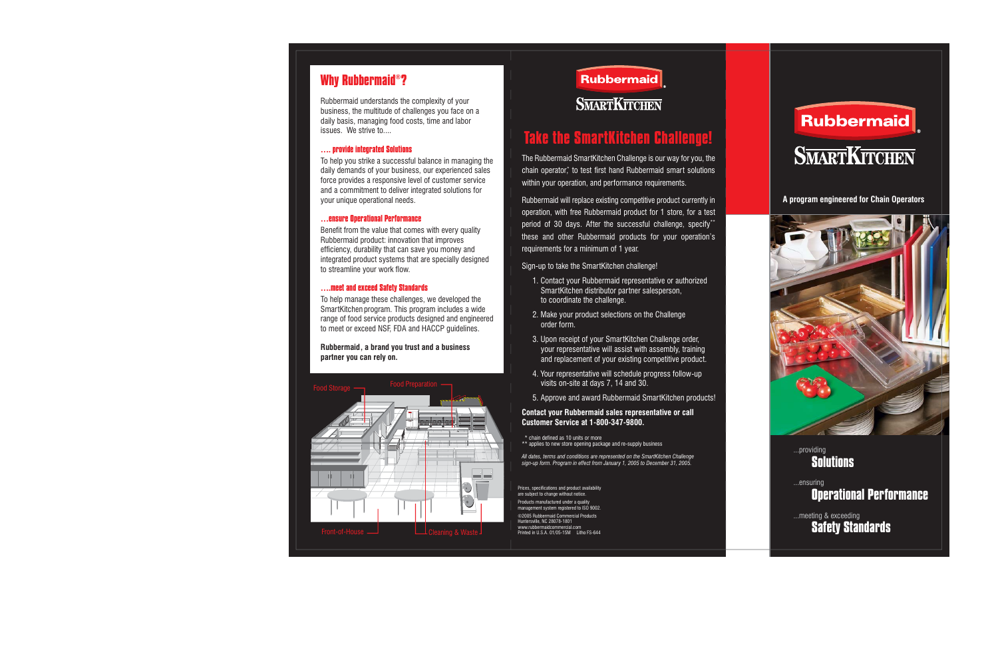# **Why Rubbermaid®?**

Rubbermaid understands the complexity of your business, the multitude of challenges you face on a daily basis, managing food costs, time and labor issues. We strive to...

## **…. provide integrated Solutions**

To help you strike a successful balance in managing the daily demands of your business, our experienced sales force provides a responsive level of customer service and a commitment to deliver integrated solutions for your unique operational needs.

#### **…ensure Operational Performance**

Benefit from the value that comes with every quality Rubbermaid product: innovation that improves efficiency, durability that can save you money and integrated product systems that are specially designed to streamline your work flow.

#### **….meet and exceed Safety Standards**

To help manage these challenges, we developed the SmartKitchen program. This program includes a wide range of food service products designed and engineered to meet or exceed NSF, FDA and HACCP guidelines.

**Rubbermaid, a brand you trust and a business partner you can rely on.**





# **Take the SmartKitchen Challenge!**

The Rubbermaid SmartKitchen Challenge is our way for you, the chain operator,\* to test first hand Rubbermaid smart solutions within your operation, and performance requirements.

Rubbermaid will replace existing competitive product currently in operation, with free Rubbermaid product for 1 store, for a test period of 30 days. After the successful challenge, specify\*\* these and other Rubbermaid products for your operation's requirements for a minimum of 1 year.

Sign-up to take the SmartKitchen challenge!

- 1. Contact your Rubbermaid representative or authorized SmartKitchen distributor partner salesperson, to coordinate the challenge.
- 2. Make your product selections on the Challenge order form.
- 3. Upon receipt of your SmartKitchen Challenge order, your representative will assist with assembly, training and replacement of your existing competitive product.
- 4. Your representative will schedule progress follow-up visits on-site at days 7, 14 and 30.
- 5. Approve and award Rubbermaid SmartKitchen products!

### **Contact your Rubbermaid sales representative or call Customer Service at 1-800-347-9800.**

\* chain defined as 10 units or more

\*\* applies to new store opening package and re-supply business

*All dates, terms and conditions are represented on the SmartKitchen Challenge sign-up form. Program in effect from January 1, 2005 to December 31, 2005.*

Prices, specifications and product availability are subject to change without notice.

Products manufactured under a quality ment system registered to ISO 9002 ©2005 Rubbermaid Commercial Products

Huntersville, NC 28078-1801 www.rubbermaidcommercial.comPrinted in U.S.A. 01/05-15M Litho FS-644



### **A program engineered for Chain Operators**



## **Solutions**...providing

# **Operational Performance** ...ensuring

**Safety Standards** ...meeting & exceeding